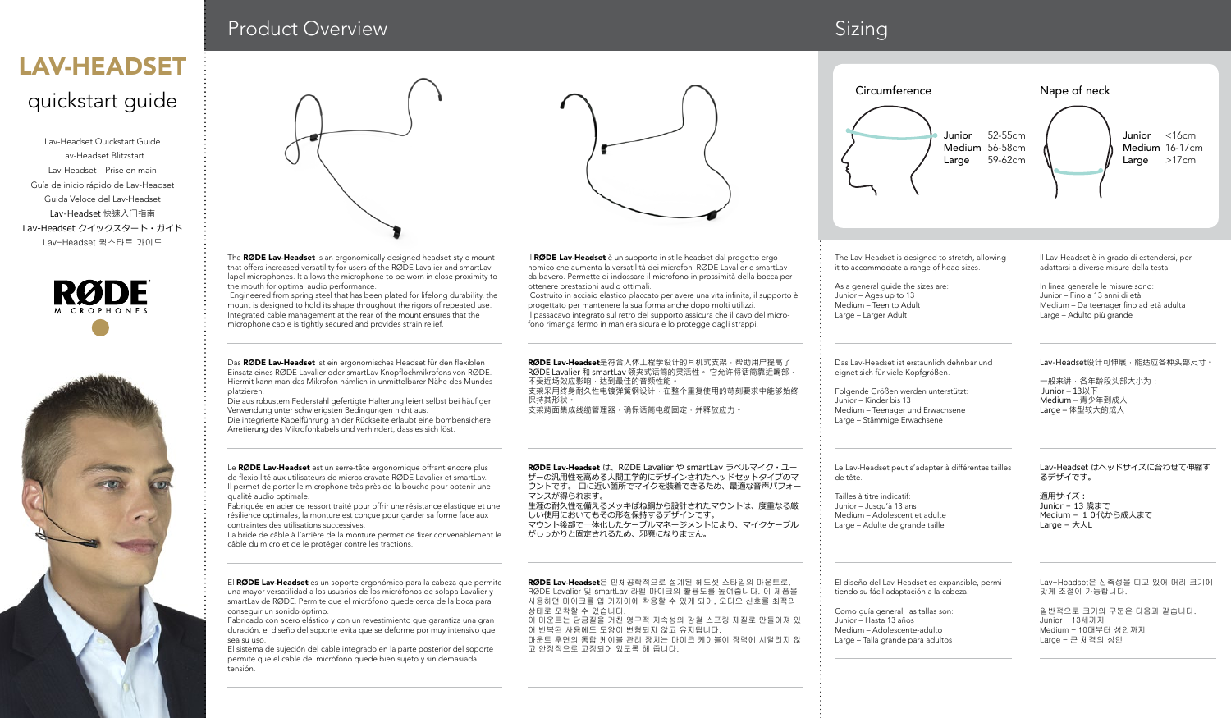## quickstart guide LAV-HEADSET

Lav-Headset Quickstart Guide Lav-Headset Blitzstart Lav-Headset – Prise en main Guía de inicio rápido de Lav-Headset Guida Veloce del Lav-Headset Lav-Headset 快速入门指南 Lav-Headset クイックスタート・ガイド Lav-Headset 퀵스타트 가이드





## Product Overview **Sizing** Sizing

the mouth for optimal audio performance.

platzieren.

qualité audio optimale.

conseguir un sonido óptimo.

sea su uso.

tensión.

contraintes des utilisations successives.